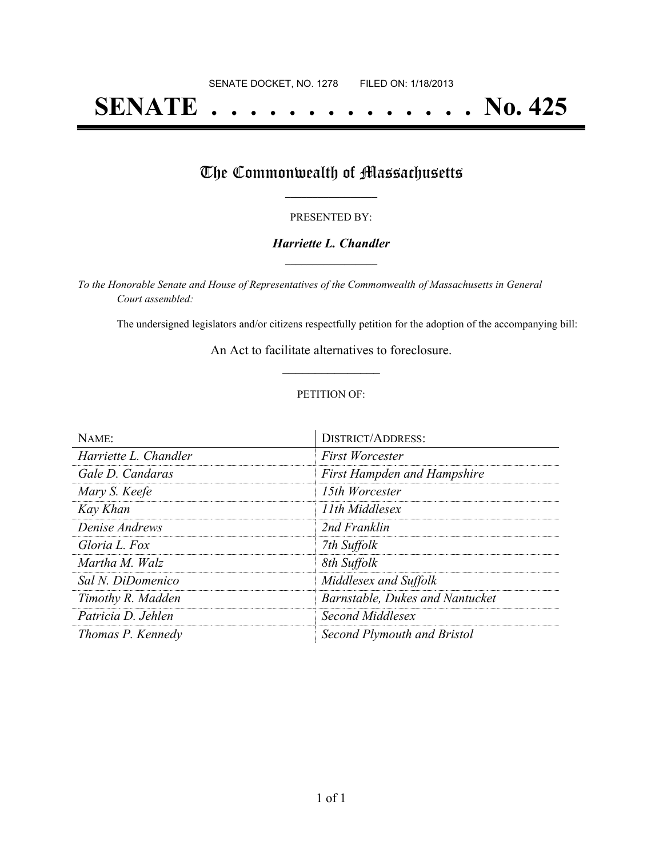# **SENATE . . . . . . . . . . . . . . No. 425**

## The Commonwealth of Massachusetts

#### PRESENTED BY:

#### *Harriette L. Chandler* **\_\_\_\_\_\_\_\_\_\_\_\_\_\_\_\_\_**

*To the Honorable Senate and House of Representatives of the Commonwealth of Massachusetts in General Court assembled:*

The undersigned legislators and/or citizens respectfully petition for the adoption of the accompanying bill:

An Act to facilitate alternatives to foreclosure. **\_\_\_\_\_\_\_\_\_\_\_\_\_\_\_**

#### PETITION OF:

| NAME:                 | <b>DISTRICT/ADDRESS:</b>           |
|-----------------------|------------------------------------|
| Harriette L. Chandler | <b>First Worcester</b>             |
| Gale D. Candaras      | <b>First Hampden and Hampshire</b> |
| Mary S. Keefe         | 15th Worcester                     |
| Kay Khan              | 11th Middlesex                     |
| Denise Andrews        | 2nd Franklin                       |
| Gloria L. Fox         | 7th Suffolk                        |
| Martha M. Walz        | 8th Suffolk                        |
| Sal N. DiDomenico     | Middlesex and Suffolk              |
| Timothy R. Madden     | Barnstable, Dukes and Nantucket    |
| Patricia D. Jehlen    | Second Middlesex                   |
| Thomas P. Kennedy     | Second Plymouth and Bristol        |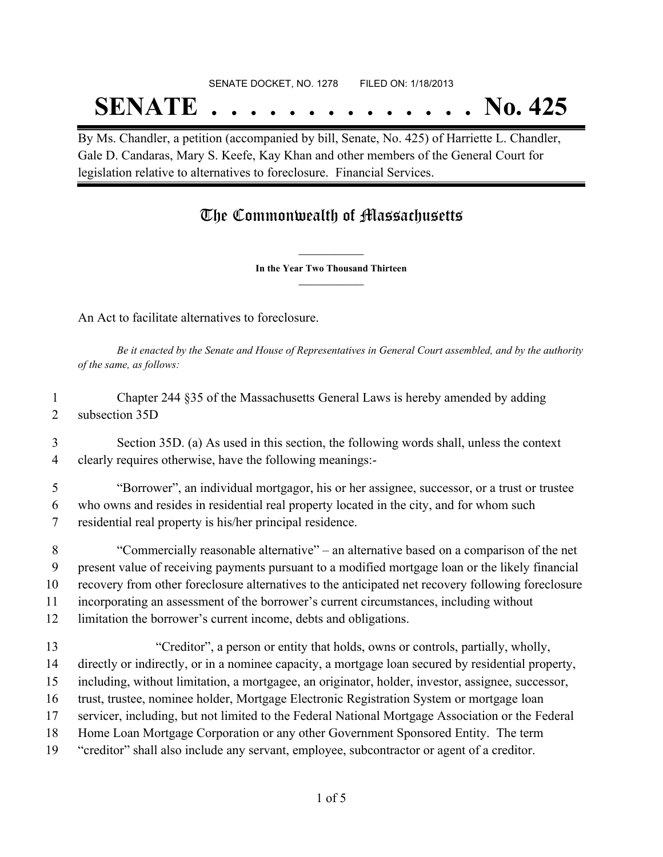# SENATE DOCKET, NO. 1278 FILED ON: 1/18/2013 **SENATE . . . . . . . . . . . . . . No. 425**

By Ms. Chandler, a petition (accompanied by bill, Senate, No. 425) of Harriette L. Chandler, Gale D. Candaras, Mary S. Keefe, Kay Khan and other members of the General Court for legislation relative to alternatives to foreclosure. Financial Services.

### The Commonwealth of Massachusetts

**\_\_\_\_\_\_\_\_\_\_\_\_\_\_\_ In the Year Two Thousand Thirteen \_\_\_\_\_\_\_\_\_\_\_\_\_\_\_**

An Act to facilitate alternatives to foreclosure.

Be it enacted by the Senate and House of Representatives in General Court assembled, and by the authority *of the same, as follows:*

 Chapter 244 §35 of the Massachusetts General Laws is hereby amended by adding subsection 35D

 Section 35D. (a) As used in this section, the following words shall, unless the context clearly requires otherwise, have the following meanings:-

 "Borrower", an individual mortgagor, his or her assignee, successor, or a trust or trustee who owns and resides in residential real property located in the city, and for whom such residential real property is his/her principal residence.

 "Commercially reasonable alternative" – an alternative based on a comparison of the net present value of receiving payments pursuant to a modified mortgage loan or the likely financial recovery from other foreclosure alternatives to the anticipated net recovery following foreclosure incorporating an assessment of the borrower's current circumstances, including without

- limitation the borrower's current income, debts and obligations.
- "Creditor", a person or entity that holds, owns or controls, partially, wholly, directly or indirectly, or in a nominee capacity, a mortgage loan secured by residential property, including, without limitation, a mortgagee, an originator, holder, investor, assignee, successor, trust, trustee, nominee holder, Mortgage Electronic Registration System or mortgage loan servicer, including, but not limited to the Federal National Mortgage Association or the Federal Home Loan Mortgage Corporation or any other Government Sponsored Entity. The term "creditor" shall also include any servant, employee, subcontractor or agent of a creditor.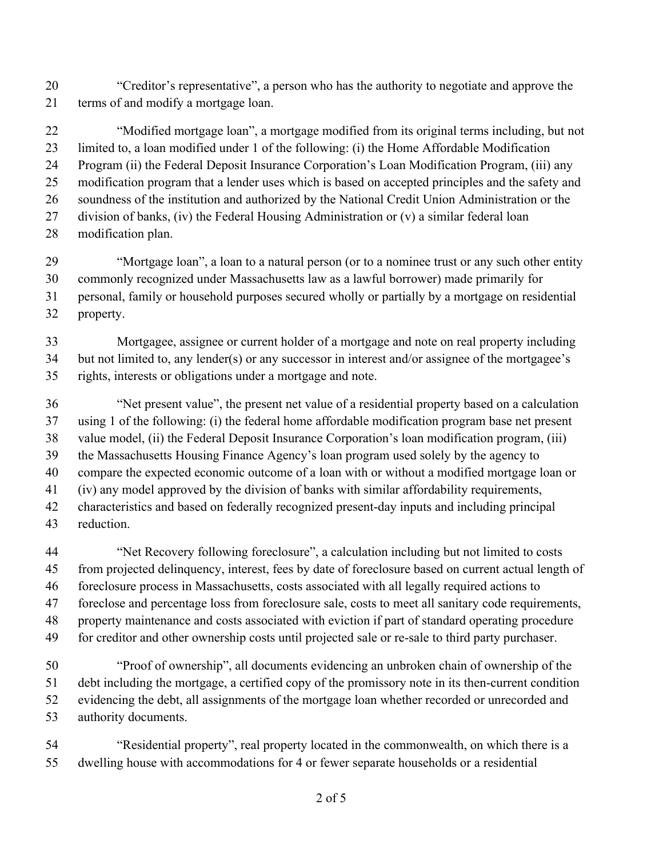"Creditor's representative", a person who has the authority to negotiate and approve the terms of and modify a mortgage loan.

 "Modified mortgage loan", a mortgage modified from its original terms including, but not limited to, a loan modified under 1 of the following: (i) the Home Affordable Modification Program (ii) the Federal Deposit Insurance Corporation's Loan Modification Program, (iii) any modification program that a lender uses which is based on accepted principles and the safety and soundness of the institution and authorized by the National Credit Union Administration or the division of banks, (iv) the Federal Housing Administration or (v) a similar federal loan modification plan.

 "Mortgage loan", a loan to a natural person (or to a nominee trust or any such other entity commonly recognized under Massachusetts law as a lawful borrower) made primarily for personal, family or household purposes secured wholly or partially by a mortgage on residential property.

 Mortgagee, assignee or current holder of a mortgage and note on real property including but not limited to, any lender(s) or any successor in interest and/or assignee of the mortgagee's rights, interests or obligations under a mortgage and note.

 "Net present value", the present net value of a residential property based on a calculation using 1 of the following: (i) the federal home affordable modification program base net present value model, (ii) the Federal Deposit Insurance Corporation's loan modification program, (iii) the Massachusetts Housing Finance Agency's loan program used solely by the agency to compare the expected economic outcome of a loan with or without a modified mortgage loan or (iv) any model approved by the division of banks with similar affordability requirements, characteristics and based on federally recognized present-day inputs and including principal reduction.

- "Net Recovery following foreclosure", a calculation including but not limited to costs from projected delinquency, interest, fees by date of foreclosure based on current actual length of foreclosure process in Massachusetts, costs associated with all legally required actions to foreclose and percentage loss from foreclosure sale, costs to meet all sanitary code requirements, property maintenance and costs associated with eviction if part of standard operating procedure for creditor and other ownership costs until projected sale or re-sale to third party purchaser.
- "Proof of ownership", all documents evidencing an unbroken chain of ownership of the debt including the mortgage, a certified copy of the promissory note in its then-current condition evidencing the debt, all assignments of the mortgage loan whether recorded or unrecorded and authority documents.
- "Residential property", real property located in the commonwealth, on which there is a dwelling house with accommodations for 4 or fewer separate households or a residential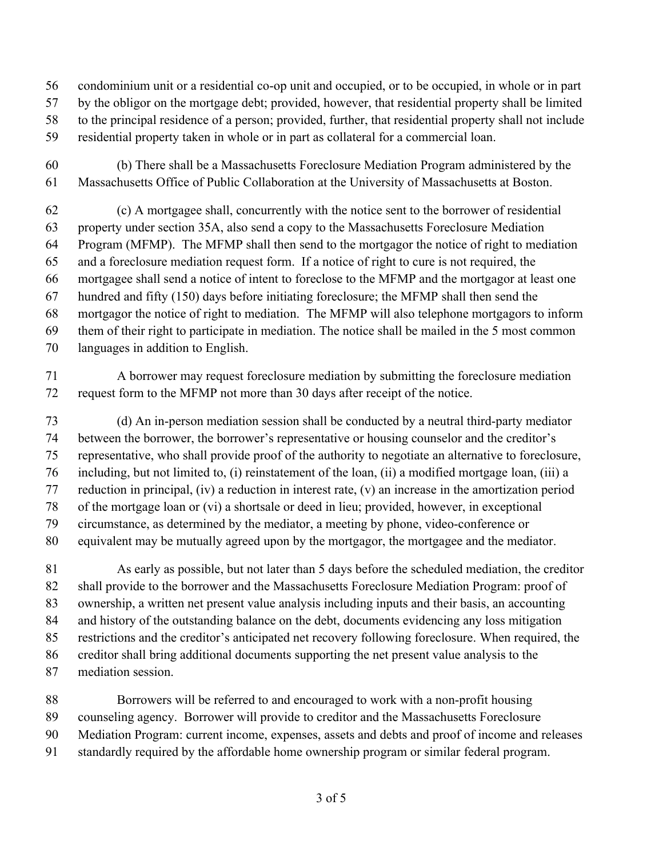- condominium unit or a residential co-op unit and occupied, or to be occupied, in whole or in part
- by the obligor on the mortgage debt; provided, however, that residential property shall be limited
- to the principal residence of a person; provided, further, that residential property shall not include
- residential property taken in whole or in part as collateral for a commercial loan.
- (b) There shall be a Massachusetts Foreclosure Mediation Program administered by the Massachusetts Office of Public Collaboration at the University of Massachusetts at Boston.

 (c) A mortgagee shall, concurrently with the notice sent to the borrower of residential property under section 35A, also send a copy to the Massachusetts Foreclosure Mediation Program (MFMP). The MFMP shall then send to the mortgagor the notice of right to mediation and a foreclosure mediation request form. If a notice of right to cure is not required, the mortgagee shall send a notice of intent to foreclose to the MFMP and the mortgagor at least one hundred and fifty (150) days before initiating foreclosure; the MFMP shall then send the mortgagor the notice of right to mediation. The MFMP will also telephone mortgagors to inform them of their right to participate in mediation. The notice shall be mailed in the 5 most common languages in addition to English.

 A borrower may request foreclosure mediation by submitting the foreclosure mediation request form to the MFMP not more than 30 days after receipt of the notice.

 (d) An in-person mediation session shall be conducted by a neutral third-party mediator between the borrower, the borrower's representative or housing counselor and the creditor's representative, who shall provide proof of the authority to negotiate an alternative to foreclosure, including, but not limited to, (i) reinstatement of the loan, (ii) a modified mortgage loan, (iii) a reduction in principal, (iv) a reduction in interest rate, (v) an increase in the amortization period of the mortgage loan or (vi) a shortsale or deed in lieu; provided, however, in exceptional circumstance, as determined by the mediator, a meeting by phone, video-conference or equivalent may be mutually agreed upon by the mortgagor, the mortgagee and the mediator.

 As early as possible, but not later than 5 days before the scheduled mediation, the creditor shall provide to the borrower and the Massachusetts Foreclosure Mediation Program: proof of ownership, a written net present value analysis including inputs and their basis, an accounting and history of the outstanding balance on the debt, documents evidencing any loss mitigation restrictions and the creditor's anticipated net recovery following foreclosure. When required, the creditor shall bring additional documents supporting the net present value analysis to the mediation session.

 Borrowers will be referred to and encouraged to work with a non-profit housing counseling agency. Borrower will provide to creditor and the Massachusetts Foreclosure Mediation Program: current income, expenses, assets and debts and proof of income and releases standardly required by the affordable home ownership program or similar federal program.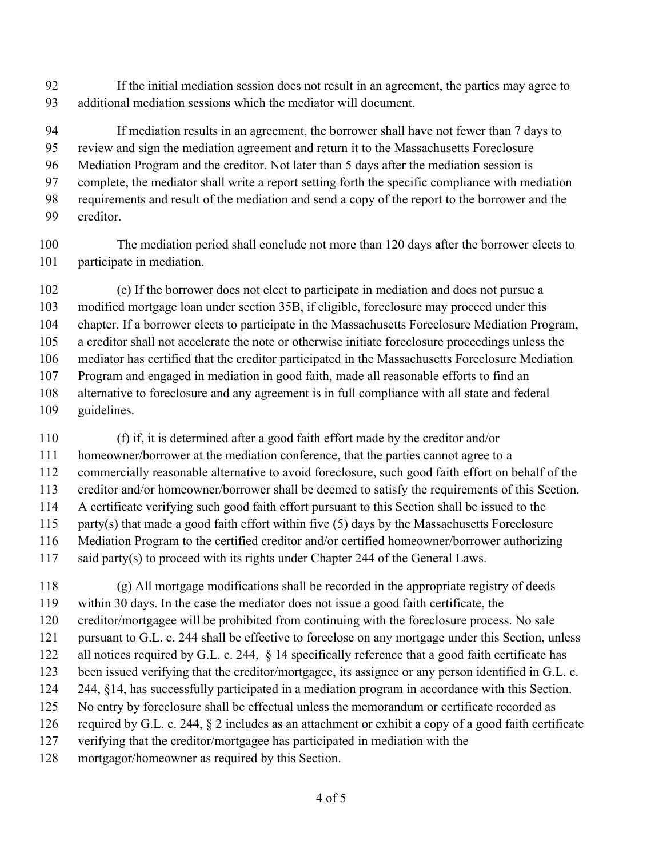If the initial mediation session does not result in an agreement, the parties may agree to additional mediation sessions which the mediator will document.

 If mediation results in an agreement, the borrower shall have not fewer than 7 days to review and sign the mediation agreement and return it to the Massachusetts Foreclosure Mediation Program and the creditor. Not later than 5 days after the mediation session is complete, the mediator shall write a report setting forth the specific compliance with mediation requirements and result of the mediation and send a copy of the report to the borrower and the creditor.

 The mediation period shall conclude not more than 120 days after the borrower elects to participate in mediation.

 (e) If the borrower does not elect to participate in mediation and does not pursue a modified mortgage loan under section 35B, if eligible, foreclosure may proceed under this chapter. If a borrower elects to participate in the Massachusetts Foreclosure Mediation Program, a creditor shall not accelerate the note or otherwise initiate foreclosure proceedings unless the mediator has certified that the creditor participated in the Massachusetts Foreclosure Mediation Program and engaged in mediation in good faith, made all reasonable efforts to find an alternative to foreclosure and any agreement is in full compliance with all state and federal guidelines.

 (f) if, it is determined after a good faith effort made by the creditor and/or homeowner/borrower at the mediation conference, that the parties cannot agree to a commercially reasonable alternative to avoid foreclosure, such good faith effort on behalf of the creditor and/or homeowner/borrower shall be deemed to satisfy the requirements of this Section. A certificate verifying such good faith effort pursuant to this Section shall be issued to the party(s) that made a good faith effort within five (5) days by the Massachusetts Foreclosure Mediation Program to the certified creditor and/or certified homeowner/borrower authorizing said party(s) to proceed with its rights under Chapter 244 of the General Laws.

 (g) All mortgage modifications shall be recorded in the appropriate registry of deeds within 30 days. In the case the mediator does not issue a good faith certificate, the creditor/mortgagee will be prohibited from continuing with the foreclosure process. No sale pursuant to G.L. c. 244 shall be effective to foreclose on any mortgage under this Section, unless 122 all notices required by G.L. c. 244, § 14 specifically reference that a good faith certificate has been issued verifying that the creditor/mortgagee, its assignee or any person identified in G.L. c. 244, §14, has successfully participated in a mediation program in accordance with this Section. No entry by foreclosure shall be effectual unless the memorandum or certificate recorded as required by G.L. c. 244, § 2 includes as an attachment or exhibit a copy of a good faith certificate verifying that the creditor/mortgagee has participated in mediation with the mortgagor/homeowner as required by this Section.